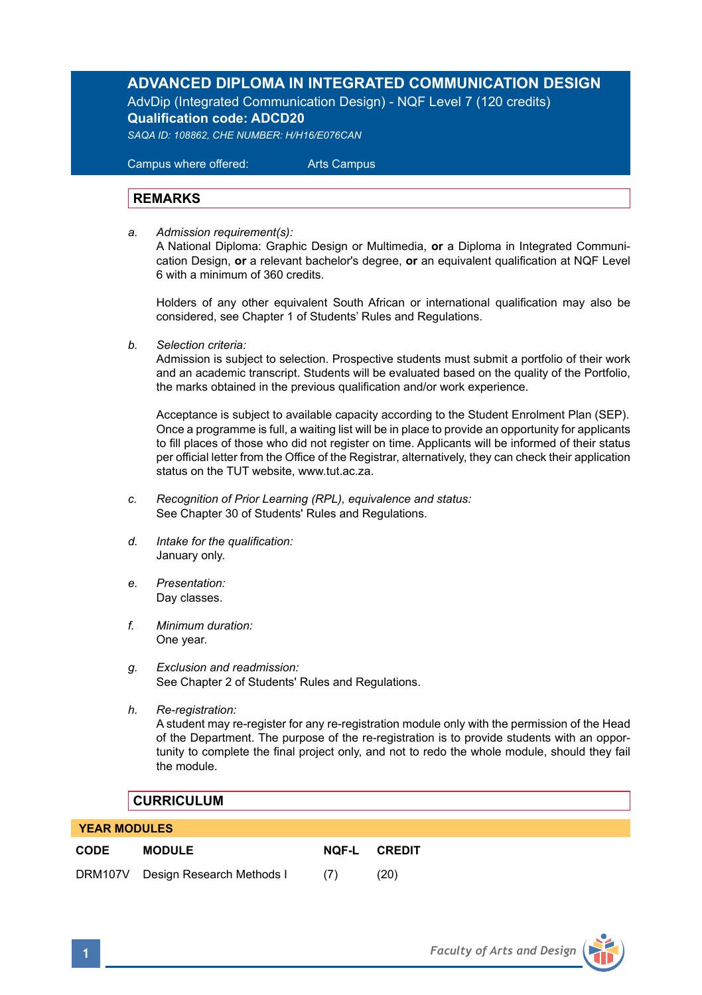# **ADVANCED DIPLOMA IN INTEGRATED COMMUNICATION DESIGN**

AdvDip (Integrated Communication Design) - NQF Level 7 (120 credits) **Qualification code: ADCD20**  *SAQA ID: 108862, CHE NUMBER: H/H16/E076CAN* 

 Campus where offered: Arts Campus

# **REMARKS**

*a. Admission requirement(s):* 

A National Diploma: Graphic Design or Multimedia, **or** a Diploma in Integrated Communication Design, **or** a relevant bachelor's degree, **or** an equivalent qualification at NQF Level 6 with a minimum of 360 credits.

Holders of any other equivalent South African or international qualification may also be considered, see Chapter 1 of Students' Rules and Regulations.

*b. Selection criteria:*

Admission is subject to selection. Prospective students must submit a portfolio of their work and an academic transcript. Students will be evaluated based on the quality of the Portfolio, the marks obtained in the previous qualification and/or work experience.

 Acceptance is subject to available capacity according to the Student Enrolment Plan (SEP). Once a programme is full, a waiting list will be in place to provide an opportunity for applicants to fill places of those who did not register on time. Applicants will be informed of their status per official letter from the Office of the Registrar, alternatively, they can check their application status on the TUT website, www.tut.ac.za.

- *c. Recognition of Prior Learning (RPL), equivalence and status:* See Chapter 30 of Students' Rules and Regulations.
- *d. Intake for the qualification:* January only.
- *e. Presentation:* Day classes.
- *f. Minimum duration:* One year.
- *g. Exclusion and readmission:* See Chapter 2 of Students' Rules and Regulations.
- *h. Re-registration:* A student may re-register for any re-registration module only with the permission of the Head of the Department. The purpose of the re-registration is to provide students with an opportunity to complete the final project only, and not to redo the whole module, should they fail the module.

# **CURRICULUM**

 **YEAR MODULES**

| $1 - 1$     |                                   |     |                     |  |  |
|-------------|-----------------------------------|-----|---------------------|--|--|
| <b>CODE</b> | <b>MODULE</b>                     |     | <b>NOF-L CREDIT</b> |  |  |
|             | DRM107V Design Research Methods I | (7) | (20)                |  |  |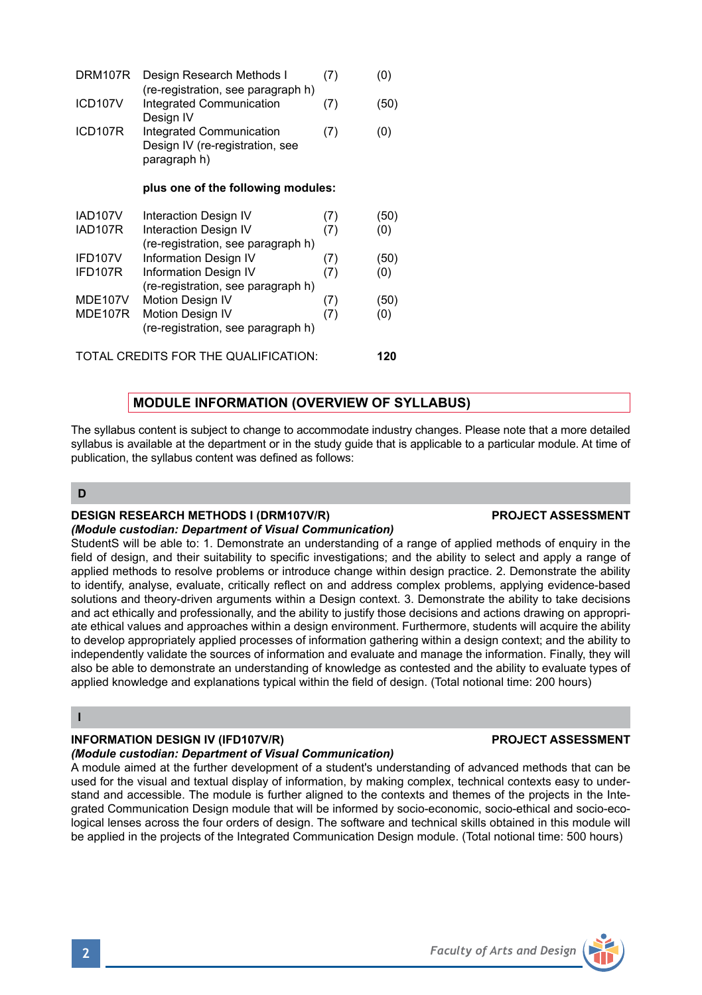| DRM107R                              | Design Research Methods I<br>(re-registration, see paragraph h)             | (7) | (0)  |
|--------------------------------------|-----------------------------------------------------------------------------|-----|------|
| ICD107V                              | Integrated Communication<br>Design IV                                       | (7) | (50) |
| ICD107R                              | Integrated Communication<br>Design IV (re-registration, see<br>paragraph h) | (7) | (0)  |
|                                      | plus one of the following modules:                                          |     |      |
| IAD107V                              | Interaction Design IV                                                       | (7) | (50) |
| IAD107R                              | Interaction Design IV<br>(re-registration, see paragraph h)                 | (7) | (0)  |
| IFD107V                              | Information Design IV                                                       | (7) | (50) |
| IFD107R                              | Information Design IV<br>(re-registration, see paragraph h)                 | (7) | (0)  |
| MDE107V                              | <b>Motion Design IV</b>                                                     | (7) | (50) |
| MDE107R                              | <b>Motion Design IV</b><br>(re-registration, see paragraph h)               | (7) | (0)  |
| TOTAL CREDITS FOR THE QUALIFICATION: |                                                                             |     |      |

# **MODULE INFORMATION (OVERVIEW OF SYLLABUS)**

The syllabus content is subject to change to accommodate industry changes. Please note that a more detailed syllabus is available at the department or in the study guide that is applicable to a particular module. At time of publication, the syllabus content was defined as follows:

# **D**

# **DESIGN RESEARCH METHODS I (DRM107V/R) PROJECT ASSESSMENT**

### *(Module custodian: Department of Visual Communication)*

StudentS will be able to: 1. Demonstrate an understanding of a range of applied methods of enquiry in the field of design, and their suitability to specific investigations; and the ability to select and apply a range of applied methods to resolve problems or introduce change within design practice. 2. Demonstrate the ability to identify, analyse, evaluate, critically reflect on and address complex problems, applying evidence-based solutions and theory-driven arguments within a Design context. 3. Demonstrate the ability to take decisions and act ethically and professionally, and the ability to justify those decisions and actions drawing on appropriate ethical values and approaches within a design environment. Furthermore, students will acquire the ability to develop appropriately applied processes of information gathering within a design context; and the ability to independently validate the sources of information and evaluate and manage the information. Finally, they will also be able to demonstrate an understanding of knowledge as contested and the ability to evaluate types of applied knowledge and explanations typical within the field of design. (Total notional time: 200 hours)

### **I**

### **INFORMATION DESIGN IV (IFD107V/R) PROJECT ASSESSMENT**

### *(Module custodian: Department of Visual Communication)*

A module aimed at the further development of a student's understanding of advanced methods that can be used for the visual and textual display of information, by making complex, technical contexts easy to understand and accessible. The module is further aligned to the contexts and themes of the projects in the Integrated Communication Design module that will be informed by socio-economic, socio-ethical and socio-ecological lenses across the four orders of design. The software and technical skills obtained in this module will be applied in the projects of the Integrated Communication Design module. (Total notional time: 500 hours)